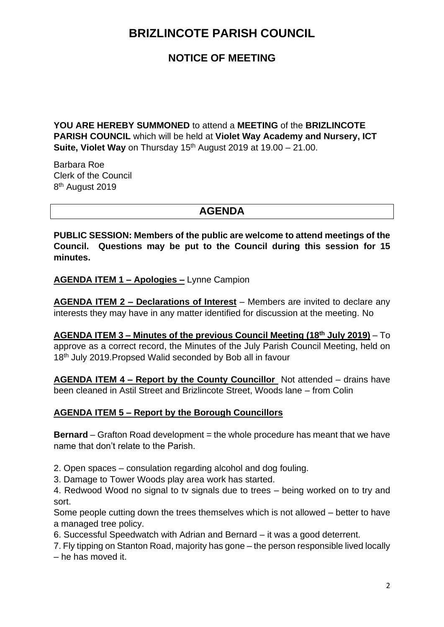## **NOTICE OF MEETING**

**YOU ARE HEREBY SUMMONED** to attend a **MEETING** of the **BRIZLINCOTE PARISH COUNCIL** which will be held at **Violet Way Academy and Nursery, ICT Suite, Violet Way** on Thursday 15<sup>th</sup> August 2019 at 19.00 – 21.00.

Barbara Roe Clerk of the Council 8<sup>th</sup> August 2019

### **AGENDA**

**PUBLIC SESSION: Members of the public are welcome to attend meetings of the Council. Questions may be put to the Council during this session for 15 minutes.**

**AGENDA ITEM 1 – Apologies –** Lynne Campion

**AGENDA ITEM 2 – Declarations of Interest** – Members are invited to declare any interests they may have in any matter identified for discussion at the meeting. No

**AGENDA ITEM 3 – Minutes of the previous Council Meeting (18th July 2019)** – To approve as a correct record, the Minutes of the July Parish Council Meeting, held on 18th July 2019.Propsed Walid seconded by Bob all in favour

**AGENDA ITEM 4 – Report by the County Councillor** Not attended – drains have been cleaned in Astil Street and Brizlincote Street, Woods lane – from Colin

#### **AGENDA ITEM 5 – Report by the Borough Councillors**

**Bernard** – Grafton Road development = the whole procedure has meant that we have name that don't relate to the Parish.

2. Open spaces – consulation regarding alcohol and dog fouling.

3. Damage to Tower Woods play area work has started.

4. Redwood Wood no signal to tv signals due to trees – being worked on to try and sort.

Some people cutting down the trees themselves which is not allowed – better to have a managed tree policy.

6. Successful Speedwatch with Adrian and Bernard – it was a good deterrent.

7. Fly tipping on Stanton Road, majority has gone – the person responsible lived locally – he has moved it.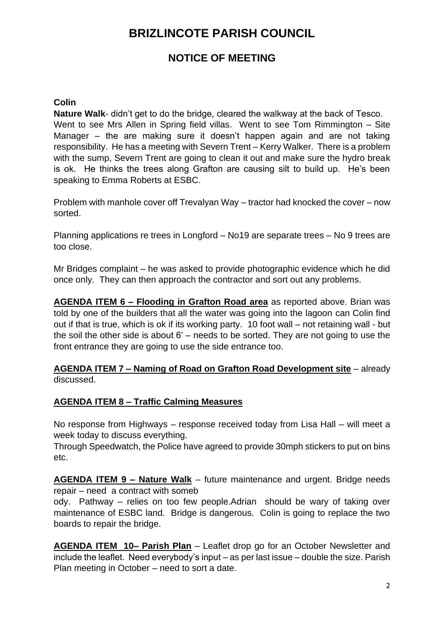## **NOTICE OF MEETING**

### **Colin**

**Nature Walk**- didn't get to do the bridge, cleared the walkway at the back of Tesco. Went to see Mrs Allen in Spring field villas. Went to see Tom Rimmington – Site Manager – the are making sure it doesn't happen again and are not taking responsibility. He has a meeting with Severn Trent – Kerry Walker. There is a problem with the sump, Severn Trent are going to clean it out and make sure the hydro break is ok. He thinks the trees along Grafton are causing silt to build up. He's been speaking to Emma Roberts at ESBC.

Problem with manhole cover off Trevalyan Way – tractor had knocked the cover – now sorted.

Planning applications re trees in Longford – No19 are separate trees – No 9 trees are too close.

Mr Bridges complaint – he was asked to provide photographic evidence which he did once only. They can then approach the contractor and sort out any problems.

**AGENDA ITEM 6 – Flooding in Grafton Road area** as reported above. Brian was told by one of the builders that all the water was going into the lagoon can Colin find out if that is true, which is ok if its working party. 10 foot wall – not retaining wall - but the soil the other side is about 6' – needs to be sorted. They are not going to use the front entrance they are going to use the side entrance too.

**AGENDA ITEM 7 – Naming of Road on Grafton Road Development site** – already discussed.

### **AGENDA ITEM 8 – Traffic Calming Measures**

No response from Highways – response received today from Lisa Hall – will meet a week today to discuss everything.

Through Speedwatch, the Police have agreed to provide 30mph stickers to put on bins etc.

**AGENDA ITEM 9 – Nature Walk** – future maintenance and urgent. Bridge needs repair – need a contract with someb

ody. Pathway – relies on too few people.Adrian should be wary of taking over maintenance of ESBC land. Bridge is dangerous. Colin is going to replace the two boards to repair the bridge.

**AGENDA ITEM 10– Parish Plan** – Leaflet drop go for an October Newsletter and include the leaflet. Need everybody's input – as per last issue – double the size. Parish Plan meeting in October – need to sort a date.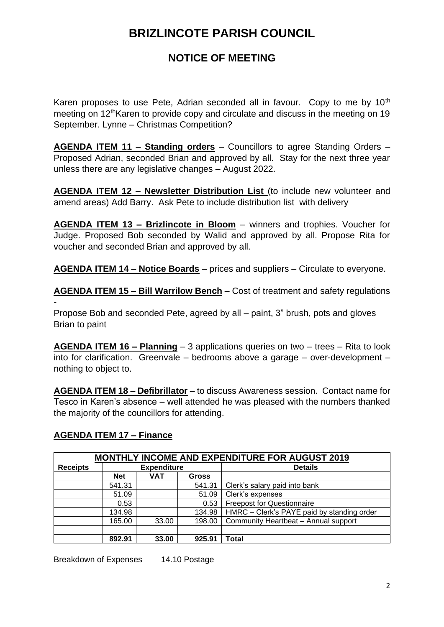## **NOTICE OF MEETING**

Karen proposes to use Pete, Adrian seconded all in favour. Copy to me by 10<sup>th</sup> meeting on 12<sup>th</sup>Karen to provide copy and circulate and discuss in the meeting on 19 September. Lynne – Christmas Competition?

**AGENDA ITEM 11 – Standing orders** – Councillors to agree Standing Orders – Proposed Adrian, seconded Brian and approved by all. Stay for the next three year unless there are any legislative changes – August 2022.

**AGENDA ITEM 12 – Newsletter Distribution List** (to include new volunteer and amend areas) Add Barry. Ask Pete to include distribution list with delivery

**AGENDA ITEM 13 – Brizlincote in Bloom** – winners and trophies. Voucher for Judge. Proposed Bob seconded by Walid and approved by all. Propose Rita for voucher and seconded Brian and approved by all.

**AGENDA ITEM 14 – Notice Boards** – prices and suppliers – Circulate to everyone.

**AGENDA ITEM 15 – Bill Warrilow Bench** – Cost of treatment and safety regulations -

Propose Bob and seconded Pete, agreed by all – paint, 3" brush, pots and gloves Brian to paint

**AGENDA ITEM 16 – Planning** – 3 applications queries on two – trees – Rita to look into for clarification. Greenvale – bedrooms above a garage – over-development – nothing to object to.

**AGENDA ITEM 18 – Defibrillator** – to discuss Awareness session. Contact name for Tesco in Karen's absence – well attended he was pleased with the numbers thanked the majority of the councillors for attending.

### **AGENDA ITEM 17 – Finance**

| <b>MONTHLY INCOME AND EXPENDITURE FOR AUGUST 2019</b> |                    |            |        |                                            |
|-------------------------------------------------------|--------------------|------------|--------|--------------------------------------------|
| <b>Receipts</b>                                       | <b>Expenditure</b> |            |        | <b>Details</b>                             |
|                                                       | <b>Net</b>         | <b>VAT</b> | Gross  |                                            |
|                                                       | 541.31             |            | 541.31 | Clerk's salary paid into bank              |
|                                                       | 51.09              |            | 51.09  | Clerk's expenses                           |
|                                                       | 0.53               |            | 0.53   | <b>Freepost for Questionnaire</b>          |
|                                                       | 134.98             |            | 134.98 | HMRC - Clerk's PAYE paid by standing order |
|                                                       | 165.00             | 33.00      | 198.00 | Community Heartbeat - Annual support       |
|                                                       |                    |            |        |                                            |
|                                                       | 892.91             | 33.00      | 925.91 | Total                                      |

Breakdown of Expenses 14.10 Postage